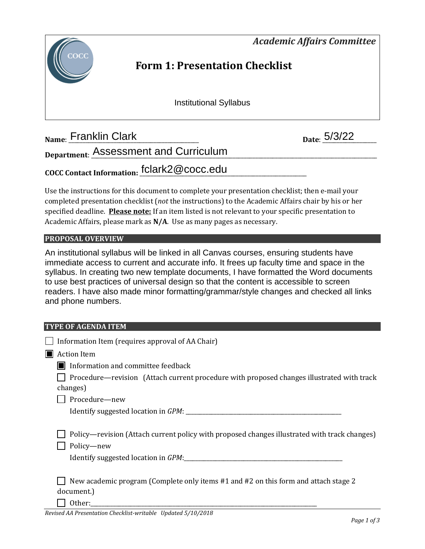*Academic Affairs Committee* 



# **Form 1: Presentation Checklist**

Institutional Syllabus

**Name:** Franklin Clark **1.2.2 Date:** 5/3/22

**Department**: \_\_\_\_\_\_\_\_\_\_\_\_\_\_\_\_\_\_\_\_\_\_\_\_\_\_\_\_\_\_\_\_\_\_\_\_\_\_\_\_\_\_\_\_\_\_\_\_\_\_\_\_\_\_\_\_\_\_\_\_\_\_\_\_\_\_\_\_\_\_\_\_\_\_\_\_\_\_\_\_\_\_\_\_\_\_\_\_\_\_\_\_\_\_\_\_\_\_\_\_\_ Assessment and Curriculum

**COCC Contact Information:** \_\_\_\_\_\_\_\_\_\_\_\_\_\_\_\_\_\_\_\_\_\_\_\_\_\_\_\_\_\_\_\_\_\_\_\_\_\_\_\_\_\_\_\_\_\_\_\_\_\_\_\_\_\_\_\_\_\_\_ fclark2@cocc.edu

Use the instructions for this document to complete your presentation checklist; then e-mail your completed presentation checklist (*not* the instructions) to the Academic Affairs chair by his or her specified deadline. **Please note:** If an item listed is not relevant to your specific presentation to Academic Affairs, please mark as **N/A**. Use as many pages as necessary.

#### **PROPOSAL OVERVIEW**

An institutional syllabus will be linked in all Canvas courses, ensuring students have immediate access to current and accurate info. It frees up faculty time and space in the syllabus. In creating two new template documents, I have formatted the Word documents to use best practices of universal design so that the content is accessible to screen readers. I have also made minor formatting/grammar/style changes and checked all links and phone numbers.

#### **TYPE OF AGENDA ITEM**

|    | Information Item (requires approval of AA Chair)                                                                                                  |  |
|----|---------------------------------------------------------------------------------------------------------------------------------------------------|--|
| ШH | <b>Action Item</b>                                                                                                                                |  |
|    | Information and committee feedback                                                                                                                |  |
|    | Procedure—revision (Attach current procedure with proposed changes illustrated with track<br>changes)                                             |  |
|    | Procedure-new                                                                                                                                     |  |
|    |                                                                                                                                                   |  |
|    | Policy—revision (Attach current policy with proposed changes illustrated with track changes)<br>Policy-new<br>Identify suggested location in GPM: |  |
|    | New academic program (Complete only items #1 and #2 on this form and attach stage 2<br>document.)<br>.                                            |  |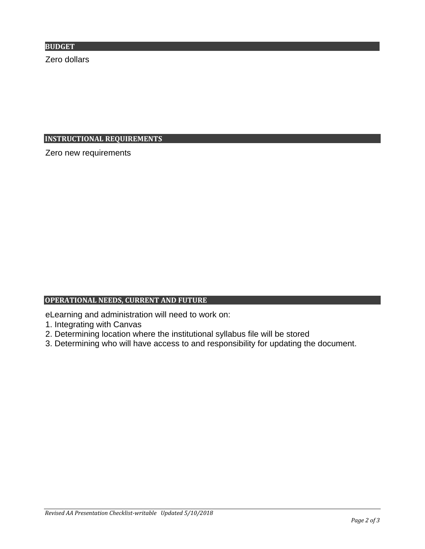**BUDGET**

Zero dollars

#### **INSTRUCTIONAL REQUIREMENTS**

Zero new requirements

## **OPERATIONAL NEEDS, CURRENT AND FUTURE**

eLearning and administration will need to work on:

- 1. Integrating with Canvas
- 2. Determining location where the institutional syllabus file will be stored
- 3. Determining who will have access to and responsibility for updating the document.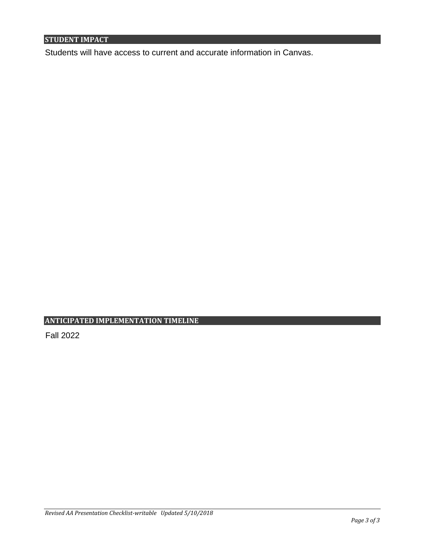## **STUDENT IMPACT**

Students will have access to current and accurate information in Canvas.

## **ANTICIPATED IMPLEMENTATION TIMELINE**

Fall 2022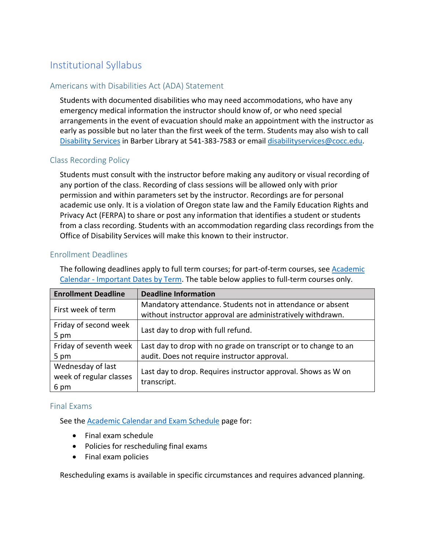## Institutional Syllabus

#### Americans with Disabilities Act (ADA) Statement

Students with documented disabilities who may need accommodations, who have any emergency medical information the instructor should know of, or who need special arrangements in the event of evacuation should make an appointment with the instructor as early as possible but no later than the first week of the term. Students may also wish to call [Disability Services](https://www.cocc.edu/departments/disability-services/default.aspx) in Barber Library at 541-383-7583 or email [disabilityservices@cocc.edu.](mailto:disabilityservices@cocc.edu)

#### Class Recording Policy

Students must consult with the instructor before making any auditory or visual recording of any portion of the class. Recording of class sessions will be allowed only with prior permission and within parameters set by the instructor. Recordings are for personal academic use only. It is a violation of Oregon state law and the Family Education Rights and Privacy Act (FERPA) to share or post any information that identifies a student or students from a class recording. Students with an accommodation regarding class recordings from the Office of Disability Services will make this known to their instructor.

#### Enrollment Deadlines

The following deadlines apply to full term courses; for part-of-term courses, see Academic Calendar - [Important Dates by Term.](https://www.cocc.edu/departments/admissions/degrees-and-classes/academic-calendar-important-dates-by-term.aspx#Fall) The table below applies to full-term courses only.

| <b>Enrollment Deadline</b>      | <b>Deadline Information</b>                                     |
|---------------------------------|-----------------------------------------------------------------|
| First week of term              | Mandatory attendance. Students not in attendance or absent      |
|                                 | without instructor approval are administratively withdrawn.     |
| Friday of second week           | Last day to drop with full refund.                              |
| 5 pm                            |                                                                 |
| Friday of seventh week          | Last day to drop with no grade on transcript or to change to an |
| 5 pm                            | audit. Does not require instructor approval.                    |
| Wednesday of last               | Last day to drop. Requires instructor approval. Shows as W on   |
| week of regular classes<br>6 pm | transcript.                                                     |
|                                 |                                                                 |

#### Final Exams

See the [Academic Calendar and Exam Schedule](https://www.cocc.edu/departments/admissions/degrees-and-classes/academic-calendar-and-exam-schedule.aspx) page for:

- Final exam schedule
- Policies for rescheduling final exams
- Final exam policies

Rescheduling exams is available in specific circumstances and requires advanced planning.